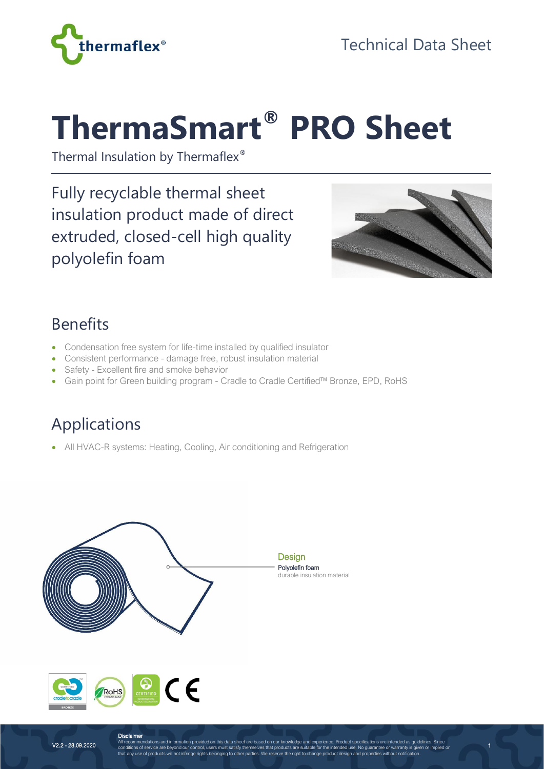

# **ThermaSmart® PRO Sheet**

Thermal Insulation by Thermaflex®

Fully recyclable thermal sheet insulation product made of direct extruded, closed-cell high quality polyolefin foam



1

#### Benefits

- Condensation free system for life-time installed by qualified insulator
- Consistent performance damage free, robust insulation material
- Safety Excellent fire and smoke behavior
- Gain point for Green building program Cradle to Cradle Certified™ Bronze, EPD, RoHS

# Applications

• All HVAC-R systems: Heating, Cooling, Air conditioning and Refrigeration